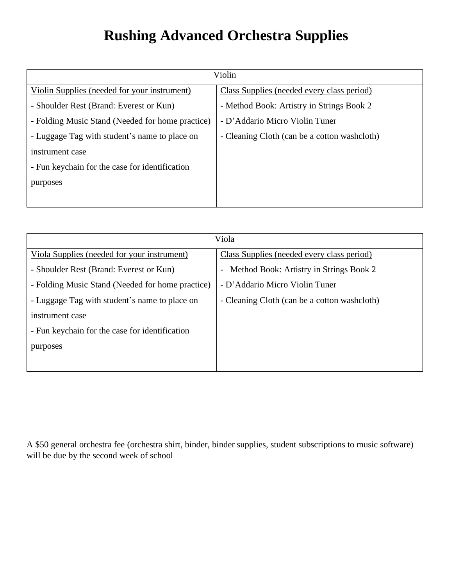## **Rushing Advanced Orchestra Supplies**

| Violin                                           |                                              |
|--------------------------------------------------|----------------------------------------------|
| Violin Supplies (needed for your instrument)     | Class Supplies (needed every class period)   |
| - Shoulder Rest (Brand: Everest or Kun)          | - Method Book: Artistry in Strings Book 2    |
| - Folding Music Stand (Needed for home practice) | - D'Addario Micro Violin Tuner               |
| - Luggage Tag with student's name to place on    | - Cleaning Cloth (can be a cotton washcloth) |
| instrument case                                  |                                              |
| - Fun keychain for the case for identification   |                                              |
| purposes                                         |                                              |
|                                                  |                                              |

| Viola                                            |                                              |
|--------------------------------------------------|----------------------------------------------|
| Viola Supplies (needed for your instrument)      | Class Supplies (needed every class period)   |
| - Shoulder Rest (Brand: Everest or Kun)          | Method Book: Artistry in Strings Book 2      |
| - Folding Music Stand (Needed for home practice) | - D'Addario Micro Violin Tuner               |
| - Luggage Tag with student's name to place on    | - Cleaning Cloth (can be a cotton washcloth) |
| instrument case                                  |                                              |
| - Fun keychain for the case for identification   |                                              |
| purposes                                         |                                              |
|                                                  |                                              |

A \$50 general orchestra fee (orchestra shirt, binder, binder supplies, student subscriptions to music software) will be due by the second week of school